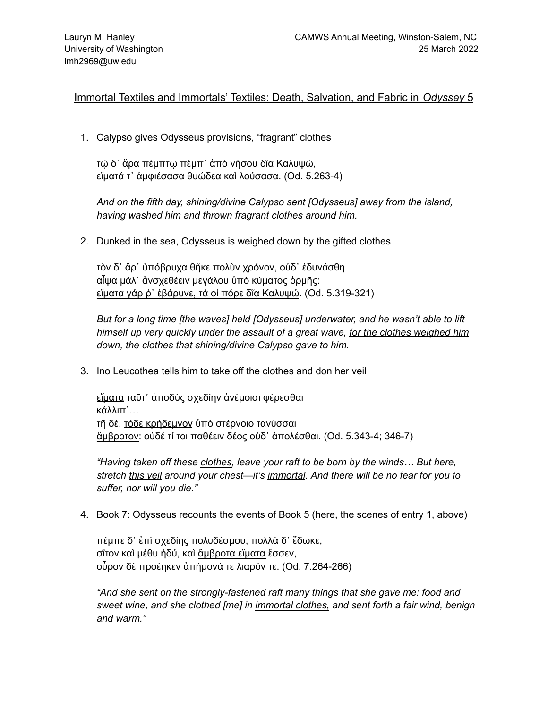Immortal Textiles and Immortals' Textiles: Death, Salvation, and Fabric in *Odyssey* 5

1. Calypso gives Odysseus provisions, "fragrant" clothes

τῷ δ᾽ ἄρα πέμπτῳ πέμπ᾽ ἀπὸ νήσου δῖα Καλυψώ, εἵματά τ᾽ ἀμφιέσασα θυώδεα καὶ λούσασα. (Od. 5.263-4)

*And on the fifth day, shining/divine Calypso sent [Odysseus] away from the island, having washed him and thrown fragrant clothes around him.*

2. Dunked in the sea, Odysseus is weighed down by the gifted clothes

τὸν δ᾽ ἄρ᾽ ὑπόβρυχα θῆκε πολὺν χρόνον, οὐδ᾽ ἐδυνάσθη αἶψα μάλ᾽ ἀνσχεθέειν μεγάλου ὑπὸ κύματος ὁρμῆς: εἵματα γάρ ῥ᾽ ἐβάρυνε, τά οἱ πόρε δῖα Καλυψώ. (Od. 5.319-321)

*But for a long time [the waves] held [Odysseus] underwater, and he wasn't able to lift himself up very quickly under the assault of a great wave, for the clothes weighed him down, the clothes that shining/divine Calypso gave to him.*

3. Ino Leucothea tells him to take off the clothes and don her veil

εἵματα ταῦτ᾽ ἀποδὺς σχεδίην ἀνέμοισι φέρεσθαι κάλλιπ᾽… τῆ δέ, τόδε κρήδεμνον ὑπὸ στέρνοιο τανύσσαι ἄμβροτον: οὐδέ τί τοι παθέειν δέος οὐδ᾽ ἀπολέσθαι. (Od. 5.343-4; 346-7)

*"Having taken off these clothes, leave your raft to be born by the winds… But here, stretch this veil around your chest—it's immortal. And there will be no fear for you to suffer, nor will you die."*

4. Book 7: Odysseus recounts the events of Book 5 (here, the scenes of entry 1, above)

πέμπε δ᾽ ἐπὶ σχεδίης πολυδέσμου, πολλὰ δ᾽ ἔδωκε, σῖτον καὶ μέθυ ἡδύ, καὶ ἄμβροτα εἵματα ἕσσεν, οὖρον δὲ προέηκεν ἀπήμονά τε λιαρόν τε. (Od. 7.264-266)

*"And she sent on the strongly-fastened raft many things that she gave me: food and sweet wine, and she clothed [me] in immortal clothes, and sent forth a fair wind, benign and warm."*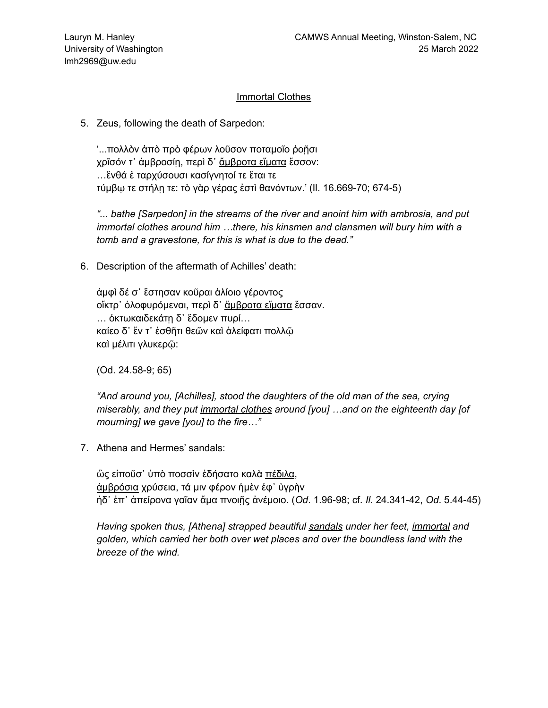### Immortal Clothes

5. Zeus, following the death of Sarpedon:

'...πολλὸν ἀπὸ πρὸ φέρων λοῦσον ποταμοῖο ῥοῇσι χρῖσόν τ᾽ ἀμβροσίῃ, περὶ δ᾽ ἄμβροτα εἵματα ἕσσον: …ἔνθά ἑ ταρχύσουσι κασίγνητοί τε ἔται τε τύμβῳ τε στήλῃ τε: τὸ γὰρ γέρας ἐστὶ θανόντων.' (Il. 16.669-70; 674-5)

*"... bathe [Sarpedon] in the streams of the river and anoint him with ambrosia, and put immortal clothes around him …there, his kinsmen and clansmen will bury him with a tomb and a gravestone, for this is what is due to the dead."*

6. Description of the aftermath of Achilles' death:

ἀμφὶ δέ σ᾽ ἔστησαν κοῦραι ἁλίοιο γέροντος οἴκτρ᾽ ὀλοφυρόμεναι, περὶ δ᾽ ἄμβροτα εἵματα ἕσσαν. … ὀκτωκαιδεκάτῃ δ᾽ ἔδομεν πυρί… καίεο δ᾽ ἔν τ᾽ ἐσθῆτι θεῶν καὶ ἀλείφατι πολλῷ καὶ μέλιτι γλυκερῷ:

(Od. 24.58-9; 65)

*"And around you, [Achilles], stood the daughters of the old man of the sea, crying miserably, and they put immortal clothes around [you] …and on the eighteenth day [of mourning] we gave [you] to the fire…"*

7. Athena and Hermes' sandals:

ὣς εἰποῦσ᾽ ὑπὸ ποσσὶν ἐδήσατο καλὰ πέδιλα, ἀμβρόσια χρύσεια, τά μιν φέρον ἠμὲν ἐφ᾽ ὑγρὴν ἠδ᾽ ἐπ᾽ ἀπείρονα γαῖαν ἅμα πνοιῇς ἀνέμοιο. (*Od*. 1.96-98; cf. *Il*. 24.341-42, *Od*. 5.44-45)

*Having spoken thus, [Athena] strapped beautiful sandals under her feet, immortal and golden, which carried her both over wet places and over the boundless land with the breeze of the wind.*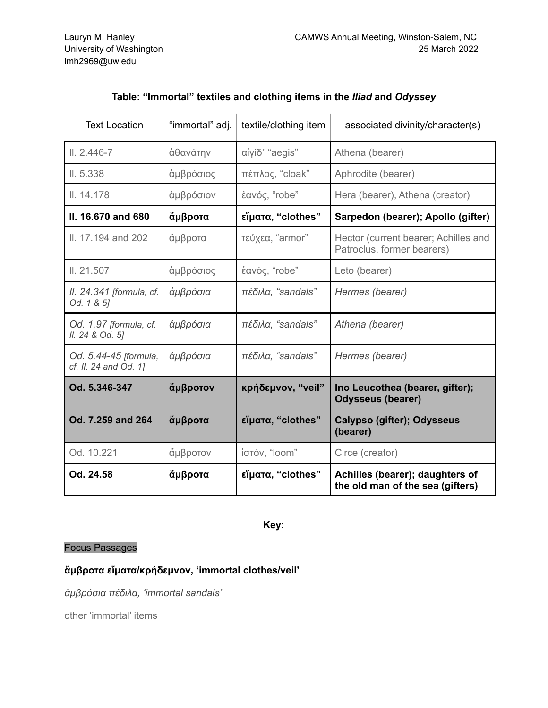| <b>Text Location</b>                           | "immortal" adj. | textile/clothing item | associated divinity/character(s)                                    |
|------------------------------------------------|-----------------|-----------------------|---------------------------------------------------------------------|
| $II. 2.446 - 7$                                | άθανάτην        | αίγίδ' "aegis"        | Athena (bearer)                                                     |
| II. 5.338                                      | άμβρόσιος       | πέπλος, "cloak"       | Aphrodite (bearer)                                                  |
| II. 14.178                                     | άμβρόσιον       | έανός, "robe"         | Hera (bearer), Athena (creator)                                     |
| II. 16.670 and 680                             | άμβροτα         | εἴματα, "clothes"     | Sarpedon (bearer); Apollo (gifter)                                  |
| II. 17.194 and 202                             | άμβροτα         | τεύχεα, "armor"       | Hector (current bearer; Achilles and<br>Patroclus, former bearers)  |
| II. 21.507                                     | άμβρόσιος       | έανὸς, "robe"         | Leto (bearer)                                                       |
| II. 24.341 [formula, cf.<br>Od. 1 & 5]         | άμβρόσια        | πέδιλα, "sandals"     | Hermes (bearer)                                                     |
| Od. 1.97 [formula, cf.<br>II. 24 & Od. 5]      | άμβρόσια        | πέδιλα, "sandals"     | Athena (bearer)                                                     |
| Od. 5.44-45 [formula,<br>cf. II. 24 and Od. 1] | άμβρόσια        | πέδιλα, "sandals"     | Hermes (bearer)                                                     |
| Od. 5.346-347                                  | άμβροτον        | κρήδεμνον, "veil"     | Ino Leucothea (bearer, gifter);<br><b>Odysseus (bearer)</b>         |
| Od. 7.259 and 264                              | άμβροτα         | εἵματα, "clothes"     | Calypso (gifter); Odysseus<br>(bearer)                              |
| Od. 10.221                                     | άμβροτον        | ίστόν, "loom"         | Circe (creator)                                                     |
| Od. 24.58                                      | άμβροτα         | εἴματα, "clothes"     | Achilles (bearer); daughters of<br>the old man of the sea (gifters) |

# **Table: "Immortal" textiles and clothing items in the** *Iliad* **and** *Odyssey*

**Key:**

## Focus Passages

### **ἄμβροτα εἵματα/κρήδεμνον, 'immortal clothes/veil'**

*ἀμβρόσια πέδιλα, 'immortal sandals'*

other 'immortal' items